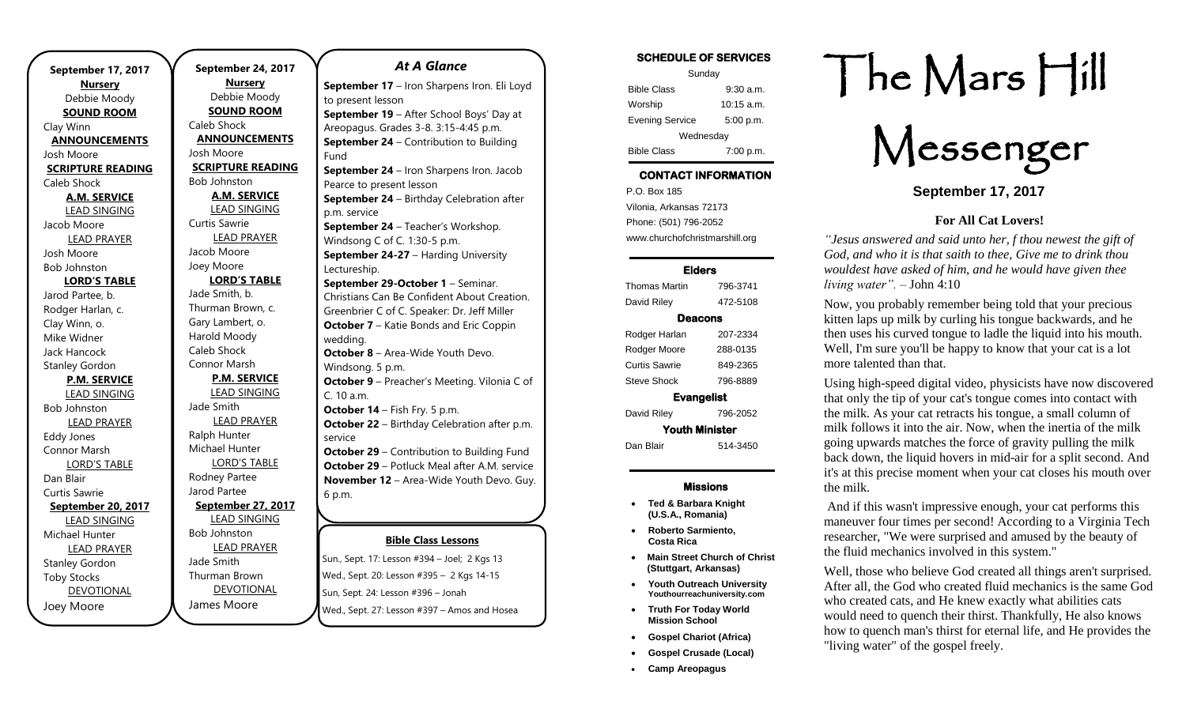. **September 17, 2017 Nursery** Debbie Moody **SOUND ROOM** Clay Winn **ANNOUNCEMENTS** Josh Moore **SCRIPTURE READING** Caleb Shock **A.M. SERVICE** LEAD SINGING Jacob Moore LEAD PRAYER Josh Moore Bob Johnston **LORD'S TABLE** Jarod Partee, b. Rodger Harlan, c. Clay Winn, o. Mike Widner Jack Hancock Stanley Gordon **P.M. SERVICE** LEAD SINGING Bob Johnston LEAD PRAYER Eddy Jones Connor Marsh LORD'S TABLE Dan Blair Curtis Sawrie **September 20, 2017** LEAD SINGING Michael Hunter LEAD PRAYER Stanley Gordon Toby Stocks DEVOTIONAL

Joey Moore

**September 24, 2017 Nursery** Debbie Moody **SOUND ROOM** Caleb Shock **ANNOUNCEMENTS** Josh Moore **SCRIPTURE READING** Bob Johnston **A.M. SERVICE** LEAD SINGING Curtis Sawrie LEAD PRAYER Jacob Moore Joey Moore **LORD'S TABLE** Jade Smith, b. Thurman Brown, c. Gary Lambert, o. Harold Moody Caleb Shock Connor Marsh **P.M. SERVICE** LEAD SINGING Jade Smith LEAD PRAYER Ralph Hunter Michael Hunter LORD'S TABLE Rodney Partee Jarod Partee **September 27, 2017** LEAD SINGING Bob Johnston LEAD PRAYER Jade Smith Thurman Brown DEVOTIONAL

James Moore

### *At A Glance*

**Bible Class Lessons Sun., Sept. 17: Lesson #394 – Joel; 2 Kgs 13 September 17** – Iron Sharpens Iron. Eli Loyd to present lesson **September 19** – After School Boys' Day at Areopagus. Grades 3-8. 3:15-4:45 p.m. **September 24** – Contribution to Building Fund **September 24** – Iron Sharpens Iron. Jacob Pearce to present lesson **September 24** – Birthday Celebration after p.m. service **September 24** – Teacher's Workshop. Windsong C of C. 1:30-5 p.m. **September 24-27** – Harding University Lectureship. **September 29-October 1** – Seminar. Christians Can Be Confident About Creation. Greenbrier C of C. Speaker: Dr. Jeff Miller **October 7** – Katie Bonds and Eric Coppin wedding. **October 8** – Area-Wide Youth Devo. Windsong. 5 p.m. **October 9** – Preacher's Meeting. Vilonia C of C. 10 a.m. **October 14** – Fish Fry. 5 p.m. **October 22** – Birthday Celebration after p.m. service **October 29 – Contribution to Building Fund October 29** – Potluck Meal after A.M. service **November 12** – Area-Wide Youth Devo. Guy. 6 p.m. **November 26**  $-$  **Contribution to Building 26**  $-$ 

Wed., Sept. 20: Lesson #395 – 2 Kgs 14-15 Sun, Sept. 24: Lesson #396 - Jonah Wed., Sept. 27: Lesson #397 – Amos and Hosea Juli, Jept. *11.* Lessor **January 7** – Area-Wide Youth Devo.

| <b>SCHEDULE OF SERVICES</b> |                      |  |
|-----------------------------|----------------------|--|
| Sunday                      |                      |  |
| <b>Bible Class</b>          | $9:30$ a.m.          |  |
| Worship                     | $10:15 \text{ a.m.}$ |  |
| <b>Evening Service</b>      | 5:00 p.m.            |  |
| Wednesday                   |                      |  |
| <b>Bible Class</b>          | 7:00 p.m.            |  |

# CONTACT INFORMATION

. .o. Box 166<br>Vilonia, Arkansas 72173 P.O. Box 185 Phone: (501) 796-2052 www.churchofchristmarshill.org

### Elders

| Thomas Martin         | 796-3741 |  |
|-----------------------|----------|--|
| David Riley           | 472-5108 |  |
| Deacons               |          |  |
| Rodger Harlan         | 207-2334 |  |
| Rodger Moore          | 288-0135 |  |
| Curtis Sawrie         | 849-2365 |  |
| Steve Shock           | 796-8889 |  |
| <b>Evangelist</b>     |          |  |
| David Riley           | 796-2052 |  |
| <b>Youth Minister</b> |          |  |
| Dan Blair             | 514-3450 |  |
|                       |          |  |

### Missions

- **Ted & Barbara Knight (U.S.A., Romania)**
- **Roberto Sarmiento, Costa Rica**
- **Main Street Church of Christ (Stuttgart, Arkansas)**
- **Youth Outreach University Youthourreachuniversity.com**
- **Truth For Today World Mission School**
- **Gospel Chariot (Africa)**
- **Gospel Crusade (Local)**
- **Camp Areopagus**

# The Mars Hill

Messenger

**September 17, 2017**

### **For All Cat Lovers!**

*"Jesus answered and said unto her, f thou newest the gift of God, and who it is that saith to thee, Give me to drink thou wouldest have asked of him, and he would have given thee living water".* – John 4:10

Now, you probably remember being told that your precious kitten laps up milk by curling his tongue backwards, and he then uses his curved tongue to ladle the liquid into his mouth. Well, I'm sure you'll be happy to know that your cat is a lot more talented than that.

Using high-speed digital video, physicists have now discovered that only the tip of your cat's tongue comes into contact with the milk. As your cat retracts his tongue, a small column of milk follows it into the air. Now, when the inertia of the milk going upwards matches the force of gravity pulling the milk back down, the liquid hovers in mid-air for a split second. And it's at this precise moment when your cat closes his mouth over the milk.

And if this wasn't impressive enough, your cat performs this maneuver four times per second! According to a Virginia Tech researcher, "We were surprised and amused by the beauty of the fluid mechanics involved in this system."

Well, those who believe God created all things aren't surprised. After all, the God who created fluid mechanics is the same God who created cats, and He knew exactly what abilities cats would need to quench their thirst. Thankfully, He also knows how to quench man's thirst for eternal life, and He provides the "living water" of the gospel freely.